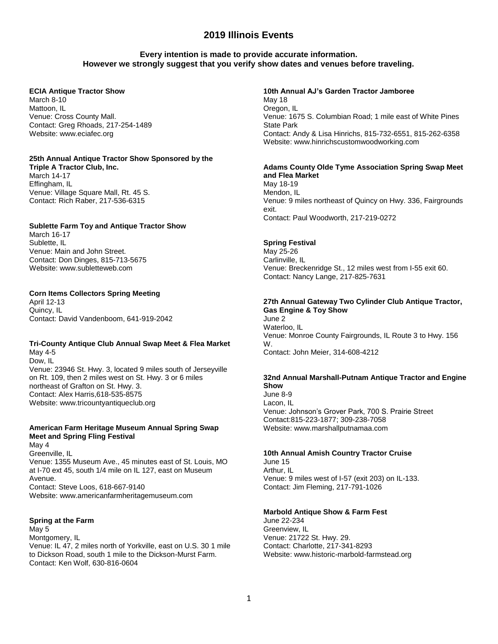# **Every intention is made to provide accurate information. However we strongly suggest that you verify show dates and venues before traveling.**

### **ECIA Antique Tractor Show**

March 8-10 Mattoon, IL Venue: Cross County Mall. Contact: Greg Rhoads, 217-254-1489 Website: www.eciafec.org

## **25th Annual Antique Tractor Show Sponsored by the**

**Triple A Tractor Club, Inc.** March 14-17 Effingham, IL Venue: Village Square Mall, Rt. 45 S. Contact: Rich Raber, 217-536-6315

### **Sublette Farm Toy and Antique Tractor Show**

March 16-17 Sublette, IL Venue: Main and John Street. Contact: Don Dinges, 815-713-5675 Website: www.subletteweb.com

### **Corn Items Collectors Spring Meeting**

April 12-13 Quincy, IL Contact: David Vandenboom, 641-919-2042

### **Tri-County Antique Club Annual Swap Meet & Flea Market** May 4-5

Dow, IL Venue: 23946 St. Hwy. 3, located 9 miles south of Jerseyville on Rt. 109, then 2 miles west on St. Hwy. 3 or 6 miles northeast of Grafton on St. Hwy. 3. Contact: Alex Harris,618-535-8575 Website: www.tricountyantiqueclub.org

## **American Farm Heritage Museum Annual Spring Swap Meet and Spring Fling Festival**

May 4 Greenville, IL Venue: 1355 Museum Ave., 45 minutes east of St. Louis, MO at I-70 ext 45, south 1/4 mile on IL 127, east on Museum Avenue. Contact: Steve Loos, 618-667-9140 Website: www.americanfarmheritagemuseum.com

### **Spring at the Farm**

May 5 Montgomery, IL Venue: IL 47, 2 miles north of Yorkville, east on U.S. 30 1 mile to Dickson Road, south 1 mile to the Dickson-Murst Farm. Contact: Ken Wolf, 630-816-0604

**10th Annual AJ's Garden Tractor Jamboree** May 18 Oregon, IL Venue: 1675 S. Columbian Road; 1 mile east of White Pines State Park Contact: Andy & Lisa Hinrichs, 815-732-6551, 815-262-6358 Website: www.hinrichscustomwoodworking.com

### **Adams County Olde Tyme Association Spring Swap Meet and Flea Market**

May 18-19 Mendon, IL Venue: 9 miles northeast of Quincy on Hwy. 336, Fairgrounds exit. Contact: Paul Woodworth, 217-219-0272

### **Spring Festival**

May 25-26 Carlinville, IL Venue: Breckenridge St., 12 miles west from I-55 exit 60. Contact: Nancy Lange, 217-825-7631

### **27th Annual Gateway Two Cylinder Club Antique Tractor, Gas Engine & Toy Show**

June 2 Waterloo, IL Venue: Monroe County Fairgrounds, IL Route 3 to Hwy. 156 W. Contact: John Meier, 314-608-4212

#### **32nd Annual Marshall-Putnam Antique Tractor and Engine Show**

June 8-9 Lacon, IL Venue: Johnson's Grover Park, 700 S. Prairie Street Contact:815-223-1877; 309-238-7058 Website: www.marshallputnamaa.com

### **10th Annual Amish Country Tractor Cruise**

June 15 Arthur, IL Venue: 9 miles west of I-57 (exit 203) on IL-133. Contact: Jim Fleming, 217-791-1026

### **Marbold Antique Show & Farm Fest**

June 22-234 Greenview, IL Venue: 21722 St. Hwy. 29. Contact: Charlotte, 217-341-8293 Website: www.historic-marbold-farmstead.org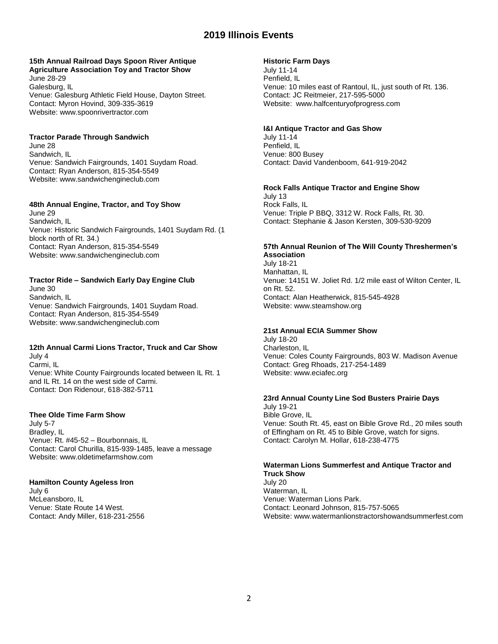### **15th Annual Railroad Days Spoon River Antique Agriculture Association Toy and Tractor Show**

June 28-29 Galesburg, IL Venue: Galesburg Athletic Field House, Dayton Street. Contact: Myron Hovind, 309-335-3619 Website: www.spoonrivertractor.com

## **Tractor Parade Through Sandwich**

June 28 Sandwich, IL Venue: Sandwich Fairgrounds, 1401 Suydam Road. Contact: Ryan Anderson, 815-354-5549 Website: www.sandwichengineclub.com

## **48th Annual Engine, Tractor, and Toy Show**

June 29 Sandwich, IL Venue: Historic Sandwich Fairgrounds, 1401 Suydam Rd. (1 block north of Rt. 34.) Contact: Ryan Anderson, 815-354-5549 Website: www.sandwichengineclub.com

## **Tractor Ride – Sandwich Early Day Engine Club**

June 30 Sandwich, IL Venue: Sandwich Fairgrounds, 1401 Suydam Road. Contact: Ryan Anderson, 815-354-5549 Website: www.sandwichengineclub.com

# **12th Annual Carmi Lions Tractor, Truck and Car Show**

July 4 Carmi, IL Venue: White County Fairgrounds located between IL Rt. 1 and IL Rt. 14 on the west side of Carmi. Contact: Don Ridenour, 618-382-5711

### **Thee Olde Time Farm Show**

July 5-7 Bradley, IL Venue: Rt. #45-52 – Bourbonnais, IL Contact: Carol Churilla, 815-939-1485, leave a message Website: www.oldetimefarmshow.com

### **Hamilton County Ageless Iron**

July 6 McLeansboro, IL Venue: State Route 14 West. Contact: Andy Miller, 618-231-2556

## **Historic Farm Days**

July 11-14 Penfield, IL Venue: 10 miles east of Rantoul, IL, just south of Rt. 136. Contact: JC Reitmeier, 217-595-5000 Website: www.halfcenturyofprogress.com

### **I&I Antique Tractor and Gas Show**

July 11-14 Penfield, IL Venue: 800 Busey Contact: David Vandenboom, 641-919-2042

### **Rock Falls Antique Tractor and Engine Show** July 13

Rock Falls, IL Venue: Triple P BBQ, 3312 W. Rock Falls, Rt. 30. Contact: Stephanie & Jason Kersten, 309-530-9209

# **57th Annual Reunion of The Will County Threshermen's Association**

July 18-21 Manhattan, IL Venue: 14151 W. Joliet Rd. 1/2 mile east of Wilton Center, IL on Rt. 52. Contact: Alan Heatherwick, 815-545-4928 Website: www.steamshow.org

# **21st Annual ECIA Summer Show**

July 18-20 Charleston, IL Venue: Coles County Fairgrounds, 803 W. Madison Avenue Contact: Greg Rhoads, 217-254-1489 Website: www.eciafec.org

### **23rd Annual County Line Sod Busters Prairie Days**

July 19-21 Bible Grove, IL Venue: South Rt. 45, east on Bible Grove Rd., 20 miles south of Effingham on Rt. 45 to Bible Grove, watch for signs. Contact: Carolyn M. Hollar, 618-238-4775

### **Waterman Lions Summerfest and Antique Tractor and Truck Show**

July 20 Waterman, IL Venue: Waterman Lions Park. Contact: Leonard Johnson, 815-757-5065 Website: www.watermanlionstractorshowandsummerfest.com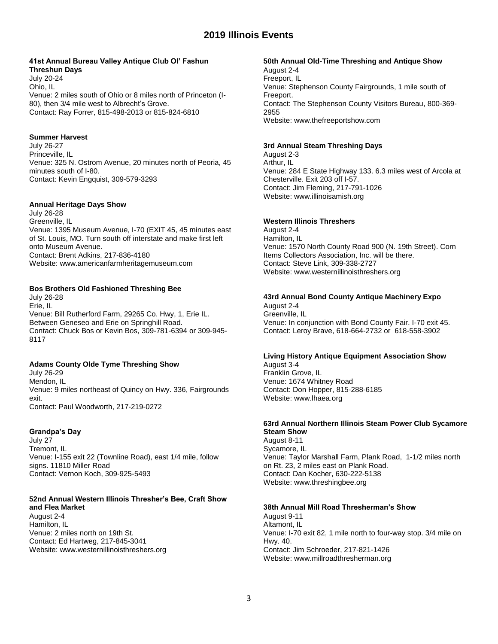### **41st Annual Bureau Valley Antique Club Ol' Fashun Threshun Days**

July 20-24 Ohio, IL Venue: 2 miles south of Ohio or 8 miles north of Princeton (I-80), then 3/4 mile west to Albrecht's Grove. Contact: Ray Forrer, 815-498-2013 or 815-824-6810

## **Summer Harvest**

July 26-27 Princeville, IL Venue: 325 N. Ostrom Avenue, 20 minutes north of Peoria, 45 minutes south of I-80. Contact: Kevin Engquist, 309-579-3293

### **Annual Heritage Days Show**

July 26-28 Greenville, IL Venue: 1395 Museum Avenue, I-70 (EXIT 45, 45 minutes east of St. Louis, MO. Turn south off interstate and make first left onto Museum Avenue. Contact: Brent Adkins, 217-836-4180 Website: www.americanfarmheritagemuseum.com

## **Bos Brothers Old Fashioned Threshing Bee**

July 26-28 Erie, IL Venue: Bill Rutherford Farm, 29265 Co. Hwy, 1, Erie IL. Between Geneseo and Erie on Springhill Road. Contact: Chuck Bos or Kevin Bos, 309-781-6394 or 309-945- 8117

# **Adams County Olde Tyme Threshing Show**

July 26-29 Mendon, IL Venue: 9 miles northeast of Quincy on Hwy. 336, Fairgrounds exit. Contact: Paul Woodworth, 217-219-0272

### **Grandpa's Day**

July 27 Tremont, IL Venue: I-155 exit 22 (Townline Road), east 1/4 mile, follow signs. 11810 Miller Road Contact: Vernon Koch, 309-925-5493

### **52nd Annual Western Illinois Thresher's Bee, Craft Show and Flea Market**

August 2-4 Hamilton, IL Venue: 2 miles north on 19th St. Contact: Ed Hartweg, 217-845-3041 Website: www.westernillinoisthreshers.org

### **50th Annual Old-Time Threshing and Antique Show**

August 2-4 Freeport, IL Venue: Stephenson County Fairgrounds, 1 mile south of Freeport. Contact: The Stephenson County Visitors Bureau, 800-369- 2955 Website: www.thefreeportshow.com

## **3rd Annual Steam Threshing Days**

August 2-3 Arthur, IL Venue: 284 E State Highway 133. 6.3 miles west of Arcola at Chesterville. Exit 203 off I-57. Contact: Jim Fleming, 217-791-1026 Website: www.illinoisamish.org

## **Western Illinois Threshers**

August 2-4 Hamilton, IL Venue: 1570 North County Road 900 (N. 19th Street). Corn Items Collectors Association, Inc. will be there. Contact: Steve Link, 309-338-2727 Website: www.westernillinoisthreshers.org

# **43rd Annual Bond County Antique Machinery Expo**

August 2-4 Greenville, IL Venue: In conjunction with Bond County Fair. I-70 exit 45. Contact: Leroy Brave, 618-664-2732 or 618-558-3902

# **Living History Antique Equipment Association Show**

August 3-4 Franklin Grove, IL Venue: 1674 Whitney Road Contact: Don Hopper, 815-288-6185 Website: www.lhaea.org

### **63rd Annual Northern Illinois Steam Power Club Sycamore Steam Show**

August 8-11 Sycamore, IL Venue: Taylor Marshall Farm, Plank Road, 1-1/2 miles north on Rt. 23, 2 miles east on Plank Road. Contact: Dan Kocher, 630-222-5138 Website: www.threshingbee.org

# **38th Annual Mill Road Thresherman's Show**

August 9-11 Altamont, IL Venue: I-70 exit 82, 1 mile north to four-way stop. 3/4 mile on Hwy. 40. Contact: Jim Schroeder, 217-821-1426 Website: www.millroadthresherman.org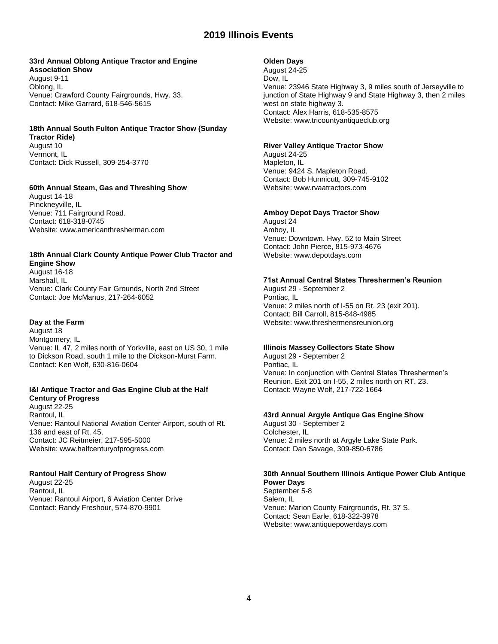#### **33rd Annual Oblong Antique Tractor and Engine Association Show**

August 9-11 Oblong, IL Venue: Crawford County Fairgrounds, Hwy. 33. Contact: Mike Garrard, 618-546-5615

# **18th Annual South Fulton Antique Tractor Show (Sunday**

**Tractor Ride)**

August 10 Vermont, IL Contact: Dick Russell, 309-254-3770

# **60th Annual Steam, Gas and Threshing Show**

August 14-18 Pinckneyville, IL Venue: 711 Fairground Road. Contact: 618-318-0745 Website: www.americanthresherman.com

### **18th Annual Clark County Antique Power Club Tractor and Engine Show**

August 16-18 Marshall, IL Venue: Clark County Fair Grounds, North 2nd Street Contact: Joe McManus, 217-264-6052

# **Day at the Farm**

August 18 Montgomery, IL Venue: IL 47, 2 miles north of Yorkville, east on US 30, 1 mile to Dickson Road, south 1 mile to the Dickson-Murst Farm. Contact: Ken Wolf, 630-816-0604

## **I&I Antique Tractor and Gas Engine Club at the Half Century of Progress**

August 22-25 Rantoul, IL Venue: Rantoul National Aviation Center Airport, south of Rt. 136 and east of Rt. 45. Contact: JC Reitmeier, 217-595-5000 Website: www.halfcenturyofprogress.com

# **Rantoul Half Century of Progress Show**

August 22-25 Rantoul, IL Venue: Rantoul Airport, 6 Aviation Center Drive Contact: Randy Freshour, 574-870-9901

## **Olden Days**

August 24-25 Dow, IL Venue: 23946 State Highway 3, 9 miles south of Jerseyville to junction of State Highway 9 and State Highway 3, then 2 miles west on state highway 3. Contact: Alex Harris, 618-535-8575 Website: www.tricountyantiqueclub.org

# **River Valley Antique Tractor Show**

August 24-25 Mapleton, IL Venue: 9424 S. Mapleton Road. Contact: Bob Hunnicutt, 309-745-9102 Website: www.rvaatractors.com

## **Amboy Depot Days Tractor Show**

August 24 Amboy, IL Venue: Downtown. Hwy. 52 to Main Street Contact: John Pierce, 815-973-4676 Website: www.depotdays.com

# **71st Annual Central States Threshermen's Reunion**

August 29 - September 2 Pontiac, IL Venue: 2 miles north of I-55 on Rt. 23 (exit 201). Contact: Bill Carroll, 815-848-4985 Website: www.threshermensreunion.org

### **Illinois Massey Collectors State Show**

August 29 - September 2 Pontiac, IL Venue: In conjunction with Central States Threshermen's Reunion. Exit 201 on I-55, 2 miles north on RT. 23. Contact: Wayne Wolf, 217-722-1664

## **43rd Annual Argyle Antique Gas Engine Show**

August 30 - September 2 Colchester, IL Venue: 2 miles north at Argyle Lake State Park. Contact: Dan Savage, 309-850-6786

### **30th Annual Southern Illinois Antique Power Club Antique Power Days**

September 5-8 Salem, IL Venue: Marion County Fairgrounds, Rt. 37 S. Contact: Sean Earle, 618-322-3978 Website: www.antiquepowerdays.com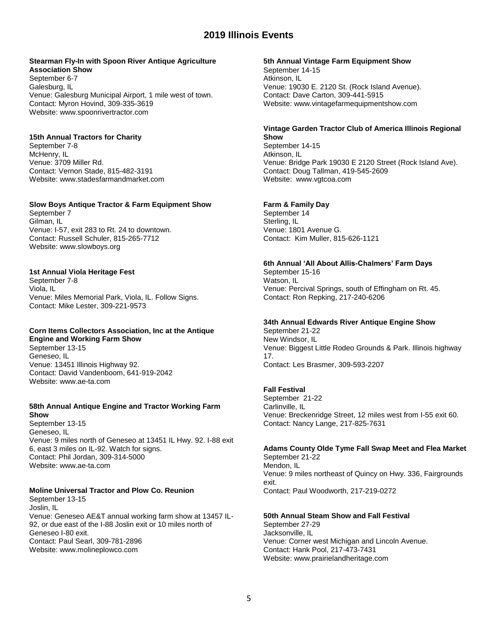### **Stearman Fly-In with Spoon River Antique Agriculture Association Show**

September 6-7 Galesburg, IL Venue: Galesburg Municipal Airport, 1 mile west of town. Contact: Myron Hovind, 309-335-3619 Website: www.spoonrivertractor.com

### **15th Annual Tractors for Charity**

September 7-8 McHenry, IL Venue: 3709 Miller Rd. Contact: Vernon Stade, 815-482-3191 Website: www.stadesfarmandmarket.com

### **Slow Boys Antique Tractor & Farm Equipment Show**

September 7 Gilman, IL Venue: I-57, exit 283 to Rt. 24 to downtown. Contact: Russell Schuler, 815-265-7712 Website: www.slowboys.org

### **1st Annual Viola Heritage Fest**

September 7-8 Viola, IL Venue: Miles Memorial Park, Viola, IL. Follow Signs. Contact: Mike Lester, 309-221-9573

#### **Corn Items Collectors Association, Inc at the Antique Engine and Working Farm Show**

September 13-15 Geneseo, IL Venue: 13451 Illinois Highway 92. Contact: David Vandenboom, 641-919-2042 Website: www.ae-ta.com

#### **58th Annual Antique Engine and Tractor Working Farm Show**

September 13-15 Geneseo, IL Venue: 9 miles north of Geneseo at 13451 IL Hwy. 92. I-88 exit 6, east 3 miles on IL-92. Watch for signs. Contact: Phil Jordan, 309-314-5000 Website: www.ae-ta.com

# **Moline Universal Tractor and Plow Co. Reunion**

September 13-15 Joslin, IL Venue: Geneseo AE&T annual working farm show at 13457 IL-92, or due east of the I-88 Joslin exit or 10 miles north of Geneseo I-80 exit. Contact: Paul Searl, 309-781-2896 Website: www.molineplowco.com

#### **5th Annual Vintage Farm Equipment Show**

September 14-15 Atkinson, IL Venue: 19030 E. 2120 St. (Rock Island Avenue). Contact: Dave Carton, 309-441-5915 Website: www.vintagefarmequipmentshow.com

### **Vintage Garden Tractor Club of America Illinois Regional Show**

September 14-15 Atkinson, IL Venue: Bridge Park 19030 E 2120 Street (Rock Island Ave). Contact: Doug Tallman, 419-545-2609 Website: www.vgtcoa.com

### **Farm & Family Day**

September 14 Sterling, IL Venue: 1801 Avenue G. Contact: Kim Muller, 815-626-1121

### **6th Annual 'All About Allis-Chalmers' Farm Days**

September 15-16 Watson, IL Venue: Percival Springs, south of Effingham on Rt. 45. Contact: Ron Repking, 217-240-6206

# **34th Annual Edwards River Antique Engine Show**

September 21-22 New Windsor, IL Venue: Biggest Little Rodeo Grounds & Park. Illinois highway 17. Contact: Les Brasmer, 309-593-2207

### **Fall Festival**

September 21-22 Carlinville, IL Venue: Breckenridge Street, 12 miles west from I-55 exit 60. Contact: Nancy Lange, 217-825-7631

### **Adams County Olde Tyme Fall Swap Meet and Flea Market**

September 21-22 Mendon, IL Venue: 9 miles northeast of Quincy on Hwy. 336, Fairgrounds exit. Contact: Paul Woodworth, 217-219-0272

### **50th Annual Steam Show and Fall Festival**

September 27-29 Jacksonville, IL Venue: Corner west Michigan and Lincoln Avenue. Contact: Hank Pool, 217-473-7431 Website: www.prairielandheritage.com